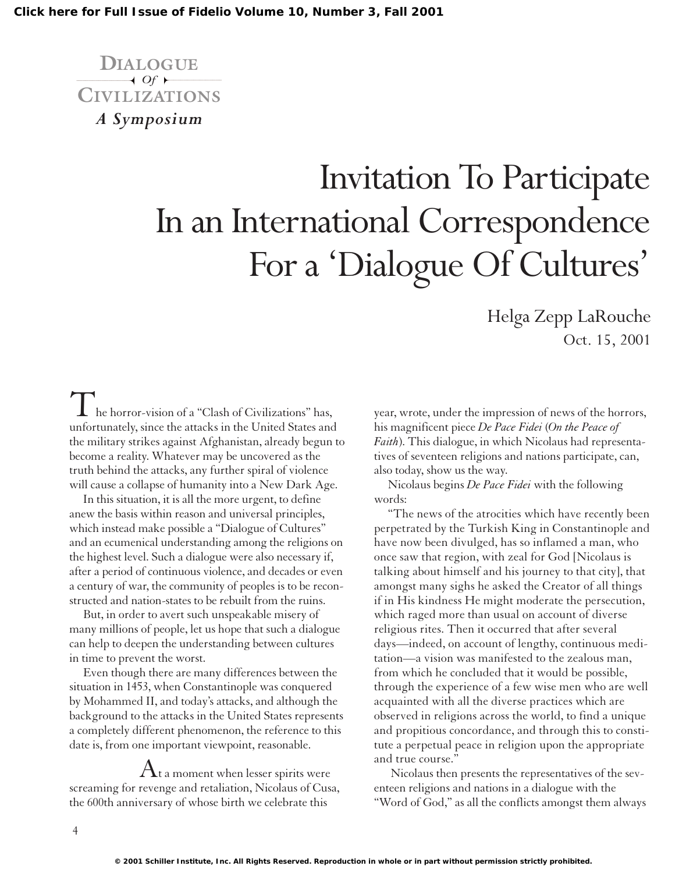**DIALOGUE**  $\overline{\phantom{a}}$  *Of* **CIVILIZATIONS** *A Symposium*

## Invitation To Participate In an International Correspondence For a 'Dialogue Of Cultures'

Helga Zepp LaRouche Oct. 15, 2001

The horror-vision of a "Clash of Civilizations" has, unfortunately, since the attacks in the United States and the military strikes against Afghanistan, already begun to become a reality. Whatever may be uncovered as the truth behind the attacks, any further spiral of violence will cause a collapse of humanity into a New Dark Age.

In this situation, it is all the more urgent, to define anew the basis within reason and universal principles, which instead make possible a "Dialogue of Cultures" and an ecumenical understanding among the religions on the highest level. Such a dialogue were also necessary if, after a period of continuous violence, and decades or even a century of war, the community of peoples is to be reconstructed and nation-states to be rebuilt from the ruins.

But, in order to avert such unspeakable misery of many millions of people, let us hope that such a dialogue can help to deepen the understanding between cultures in time to prevent the worst.

Even though there are many differences between the situation in 1453, when Constantinople was conquered by Mohammed II, and today's attacks, and although the background to the attacks in the United States represents a completely different phenomenon, the reference to this date is, from one important viewpoint, reasonable.

 ${\rm A}$ t a moment when lesser spirits were screaming for revenge and retaliation, Nicolaus of Cusa, the 600th anniversary of whose birth we celebrate this

year, wrote, under the impression of news of the horrors, his magnificent piece *De Pace Fidei* (*On the Peace of Faith*). This dialogue, in which Nicolaus had representatives of seventeen religions and nations participate, can, also today, show us the way.

Nicolaus begins *De Pace Fidei* with the following words:

"The news of the atrocities which have recently been perpetrated by the Turkish King in Constantinople and have now been divulged, has so inflamed a man, who once saw that region, with zeal for God [Nicolaus is talking about himself and his journey to that city], that amongst many sighs he asked the Creator of all things if in His kindness He might moderate the persecution, which raged more than usual on account of diverse religious rites. Then it occurred that after several days—indeed, on account of lengthy, continuous meditation—a vision was manifested to the zealous man, from which he concluded that it would be possible, through the experience of a few wise men who are well acquainted with all the diverse practices which are observed in religions across the world, to find a unique and propitious concordance, and through this to constitute a perpetual peace in religion upon the appropriate and true course."

Nicolaus then presents the representatives of the seventeen religions and nations in a dialogue with the "Word of God," as all the conflicts amongst them always